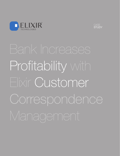



Profitability with Elixir Customer Correspondence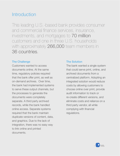## **Introduction**

This leading U.S.-based bank provides consumer and commercial finance services, insurance, investments, and mortgages to 70 million customers and one in three U.S. households with approximately 266,000 team members in 36 countries.

#### The Challenge

Customers wanted to access documents online. At the same time, regulatory policies required that the bank offer print, as well as on-demand archives. Over time, the bank had implemented systems to serve these output channels, but the processes to generate the documents were completely separate. A third party archived records, while the bank handled online access. Separate systems required that the bank maintain duplicate versions of content, data, and graphics. Due to the lack of integration, there was no easy way to link online and printed documents.

### The Solution

The bank wanted a single system that could serve print, online, and archived documents from a centralized platform. Adopting an integrated solution would reduce costs by allowing customers to choose online over print, provide audit information to track or re-create different versions, and eliminate costs and reliance on a third party vendor, all while complying with financial regulations.

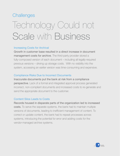### **Challenges**

## Technology Could not Scale with Business

### Increasing Costs for Archival

Growth in customer base resulted in a direct increase in document management costs for archive. The third-party provider stored a fully-composed version of each document – including all legally-required previous versions – driving up storage costs. With no visibility into the system, accessing an earlier version was time-consuming and expensive.

### Compliance Risks Due to Incorrect Documents

Inaccurate documents put the bank at risk from a compliance perspective. Lack of a formal and integrated approval process generated incorrect, non-compliant documents and increased costs to re-generate and send the appropriate document to the customer.

### Content Silos Leads to Costs

Records housed in disparate parts of the organization led to increased costs. To serve the separate systems, the bank had to maintain multiple versions of documents, leading to inefficient management of content. To correct or update content, the bank had to repeat processes across systems, introducing the potential for error and adding costs for the vendor-managed archive systems.

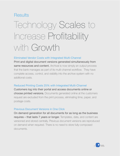### **Results**

# Iechnology Scales to Increase Profitability with Growth

### Eliminated Vendor Costs with Integrated Multi-Channel

Print and digital document versions generated simultaneously from same resources and content. Archival is now simply an output process that the bank manages as part of its multi-channel workflow. They have complete access, control, and visibility into the archive system with no additional costs.

### Reduced Printing Costs 25% with Integrated Multi-Channel

Customers log into their portal and access documents online or choose printed versions. Documents generated online at the customers request are excluded from the print process, eliminating time, paper, and postage costs.

### Previous Document Versions in One Click

On demand generation for all documents for as long as the business requires – that lasts 7 years or longer. Templates, data, and content are versioned and stored centrally. Previous document versions are reproduced on demand when required. There is no need to store fully-composed documents.

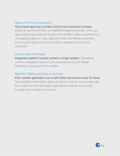### Approval Process Guaranteed

### Role-based approval provides control over production process.

Customer documents follow an established approval process, which can adjust dynamically based on events in the workflow. Approval permissions are assigned based on roles. Approvers may have different authorities, such as proof approval versus the ability to release a document to production.

### Content Silos Eliminated

Integrated platform houses content in single location. Centralized content management shares 8,000 resources across 500 design templates, reusing content as needed.

### 500,000+ Statements Daily & Counting

Elixir solution generates over a half million documents every 24 hours. The scalability of the system allows the bank to take on new business with the confidence that it will always meet delivery windows and provide accurate and compliant documents.